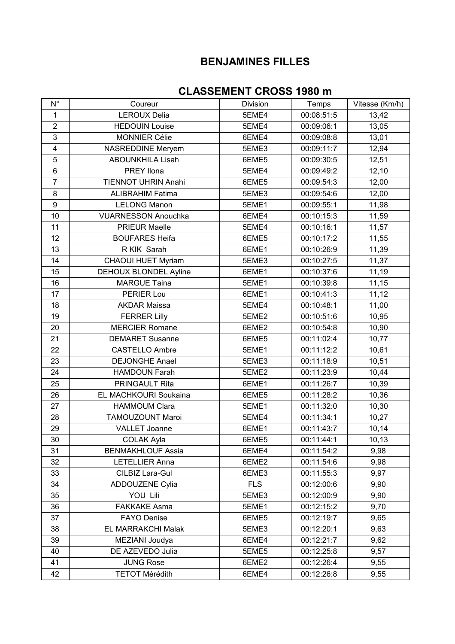## **BENJAMINES FILLES**

## **CLASSEMENT CROSS 1980 m**

| Coureur<br>Temps<br>Vitesse (Km/h)<br>Division<br><b>LEROUX Delia</b><br>00:08:51:5<br>1<br>5EME4<br>13,42<br>$\overline{2}$<br>13,05<br><b>HEDOUIN Louise</b><br>5EME4<br>00:09:06:1<br>3<br><b>MONNIER Célie</b><br>6EME4<br>00:09:08:8<br>13,01<br>$\overline{\mathbf{4}}$<br>12,94<br><b>NASREDDINE Meryem</b><br>5EME3<br>00:09:11:7<br>5<br><b>ABOUNKHILA Lisah</b><br>6EME5<br>00:09:30:5<br>12,51<br>$\,6$<br><b>PREY llona</b><br>5EME4<br>00:09:49:2<br>12,10<br>$\overline{7}$<br><b>TIENNOT UHRIN Anahi</b><br>6EME5<br>00:09:54:3<br>12,00<br>8<br><b>ALIBRAHIM Fatima</b><br>5EME3<br>00:09:54:6<br>12,00<br>$\boldsymbol{9}$<br><b>LELONG Manon</b><br>11,98<br>5EME1<br>00:09:55:1<br>10<br><b>VUARNESSON Anouchka</b><br>00:10:15:3<br>6EME4<br>11,59<br>11<br>PRIEUR Maelle<br>5EME4<br>00:10:16:1<br>11,57<br>12<br><b>BOUFARES Heifa</b><br>00:10:17:2<br>6EME5<br>11,55<br>13<br>R KIK Sarah<br>6EME1<br>00:10:26:9<br>11,39<br>14<br><b>CHAOUI HUET Myriam</b><br>11,37<br>5EME3<br>00:10:27:5<br>15<br>DEHOUX BLONDEL Ayline<br>6EME1<br>00:10:37:6<br>11,19<br>16<br><b>MARGUE Taina</b><br>5EME1<br>00:10:39:8<br>11,15<br>17<br>PERIER Lou<br>6EME1<br>00:10:41:3<br>11,12<br>18<br><b>AKDAR Maissa</b><br>00:10:48:1<br>11,00<br>5EME4<br>19<br><b>FERRER Lilly</b><br>5EME2<br>00:10:51:6<br>10,95<br><b>MERCIER Romane</b><br>20<br>6EME2<br>00:10:54:8<br>10,90<br>21<br>00:11:02:4<br><b>DEMARET Susanne</b><br>6EME5<br>10,77<br>22<br><b>CASTELLO Ambre</b><br>00:11:12:2<br>5EME1<br>10,61<br>23<br><b>DEJONGHE Anael</b><br>5EME3<br>00:11:18:9<br>10,51<br>24<br><b>HAMDOUN Farah</b><br>00:11:23:9<br>5EME2<br>10,44<br>25<br>PRINGAULT Rita<br>6EME1<br>00:11:26:7<br>10,39<br>26<br>EL MACHKOURI Soukaina<br>6EME5<br>00:11:28:2<br>10,36<br>27<br><b>HAMMOUM Clara</b><br>00:11:32:0<br>10,30<br>5EME1<br>28<br>TAMOUZOUNT Maroi<br>00:11:34:1<br>5EME4<br>10,27<br>29<br>10,14<br><b>VALLET Joanne</b><br>6EME1<br>00:11:43:7<br>30<br>6EME5<br>10,13<br><b>COLAK Ayla</b><br>00:11:44:1<br>31<br><b>BENMAKHLOUF Assia</b><br>6EME4<br>00:11:54:2<br>9,98<br>32<br><b>LETELLIER Anna</b><br>6EME2<br>00:11:54:6<br>9,98<br>33<br>CILBIZ Lara-Gul<br>00:11:55:3<br>6EME3<br>9,97<br><b>FLS</b><br>34<br><b>ADDOUZENE Cylia</b><br>00:12:00:6<br>9,90<br>35<br>YOU Lili<br>00:12:00:9<br>5EME3<br>9,90<br>36<br><b>FAKKAKE Asma</b><br>5EME1<br>00:12:15:2<br>9,70<br>37<br><b>FAYO Denise</b><br>6EME5<br>00:12:19:7<br>9,65<br>EL MARRAKCHI Malak<br>38<br>00:12:20:1<br>9,63<br>5EME3<br>39<br>MEZIANI Joudya<br>6EME4<br>00:12:21:7<br>9,62<br>DE AZEVEDO Julia<br>5EME5<br>00:12:25:8<br>40<br>9,57<br>41<br><b>JUNG Rose</b><br>6EME2<br>00:12:26:4<br>9,55<br>00:12:26:8<br>42<br><b>TETOT Mérédith</b><br>6EME4<br>9,55 |             |  |  |
|------------------------------------------------------------------------------------------------------------------------------------------------------------------------------------------------------------------------------------------------------------------------------------------------------------------------------------------------------------------------------------------------------------------------------------------------------------------------------------------------------------------------------------------------------------------------------------------------------------------------------------------------------------------------------------------------------------------------------------------------------------------------------------------------------------------------------------------------------------------------------------------------------------------------------------------------------------------------------------------------------------------------------------------------------------------------------------------------------------------------------------------------------------------------------------------------------------------------------------------------------------------------------------------------------------------------------------------------------------------------------------------------------------------------------------------------------------------------------------------------------------------------------------------------------------------------------------------------------------------------------------------------------------------------------------------------------------------------------------------------------------------------------------------------------------------------------------------------------------------------------------------------------------------------------------------------------------------------------------------------------------------------------------------------------------------------------------------------------------------------------------------------------------------------------------------------------------------------------------------------------------------------------------------------------------------------------------------------------------------------------------------------------------------------------------------------------------------------------------------------------------------------------------------------------------------------------------------------------------------------------------------------------------------------------------------------------------------------------------------------------------------------|-------------|--|--|
|                                                                                                                                                                                                                                                                                                                                                                                                                                                                                                                                                                                                                                                                                                                                                                                                                                                                                                                                                                                                                                                                                                                                                                                                                                                                                                                                                                                                                                                                                                                                                                                                                                                                                                                                                                                                                                                                                                                                                                                                                                                                                                                                                                                                                                                                                                                                                                                                                                                                                                                                                                                                                                                                                                                                                                        | $N^{\circ}$ |  |  |
|                                                                                                                                                                                                                                                                                                                                                                                                                                                                                                                                                                                                                                                                                                                                                                                                                                                                                                                                                                                                                                                                                                                                                                                                                                                                                                                                                                                                                                                                                                                                                                                                                                                                                                                                                                                                                                                                                                                                                                                                                                                                                                                                                                                                                                                                                                                                                                                                                                                                                                                                                                                                                                                                                                                                                                        |             |  |  |
|                                                                                                                                                                                                                                                                                                                                                                                                                                                                                                                                                                                                                                                                                                                                                                                                                                                                                                                                                                                                                                                                                                                                                                                                                                                                                                                                                                                                                                                                                                                                                                                                                                                                                                                                                                                                                                                                                                                                                                                                                                                                                                                                                                                                                                                                                                                                                                                                                                                                                                                                                                                                                                                                                                                                                                        |             |  |  |
|                                                                                                                                                                                                                                                                                                                                                                                                                                                                                                                                                                                                                                                                                                                                                                                                                                                                                                                                                                                                                                                                                                                                                                                                                                                                                                                                                                                                                                                                                                                                                                                                                                                                                                                                                                                                                                                                                                                                                                                                                                                                                                                                                                                                                                                                                                                                                                                                                                                                                                                                                                                                                                                                                                                                                                        |             |  |  |
|                                                                                                                                                                                                                                                                                                                                                                                                                                                                                                                                                                                                                                                                                                                                                                                                                                                                                                                                                                                                                                                                                                                                                                                                                                                                                                                                                                                                                                                                                                                                                                                                                                                                                                                                                                                                                                                                                                                                                                                                                                                                                                                                                                                                                                                                                                                                                                                                                                                                                                                                                                                                                                                                                                                                                                        |             |  |  |
|                                                                                                                                                                                                                                                                                                                                                                                                                                                                                                                                                                                                                                                                                                                                                                                                                                                                                                                                                                                                                                                                                                                                                                                                                                                                                                                                                                                                                                                                                                                                                                                                                                                                                                                                                                                                                                                                                                                                                                                                                                                                                                                                                                                                                                                                                                                                                                                                                                                                                                                                                                                                                                                                                                                                                                        |             |  |  |
|                                                                                                                                                                                                                                                                                                                                                                                                                                                                                                                                                                                                                                                                                                                                                                                                                                                                                                                                                                                                                                                                                                                                                                                                                                                                                                                                                                                                                                                                                                                                                                                                                                                                                                                                                                                                                                                                                                                                                                                                                                                                                                                                                                                                                                                                                                                                                                                                                                                                                                                                                                                                                                                                                                                                                                        |             |  |  |
|                                                                                                                                                                                                                                                                                                                                                                                                                                                                                                                                                                                                                                                                                                                                                                                                                                                                                                                                                                                                                                                                                                                                                                                                                                                                                                                                                                                                                                                                                                                                                                                                                                                                                                                                                                                                                                                                                                                                                                                                                                                                                                                                                                                                                                                                                                                                                                                                                                                                                                                                                                                                                                                                                                                                                                        |             |  |  |
|                                                                                                                                                                                                                                                                                                                                                                                                                                                                                                                                                                                                                                                                                                                                                                                                                                                                                                                                                                                                                                                                                                                                                                                                                                                                                                                                                                                                                                                                                                                                                                                                                                                                                                                                                                                                                                                                                                                                                                                                                                                                                                                                                                                                                                                                                                                                                                                                                                                                                                                                                                                                                                                                                                                                                                        |             |  |  |
|                                                                                                                                                                                                                                                                                                                                                                                                                                                                                                                                                                                                                                                                                                                                                                                                                                                                                                                                                                                                                                                                                                                                                                                                                                                                                                                                                                                                                                                                                                                                                                                                                                                                                                                                                                                                                                                                                                                                                                                                                                                                                                                                                                                                                                                                                                                                                                                                                                                                                                                                                                                                                                                                                                                                                                        |             |  |  |
|                                                                                                                                                                                                                                                                                                                                                                                                                                                                                                                                                                                                                                                                                                                                                                                                                                                                                                                                                                                                                                                                                                                                                                                                                                                                                                                                                                                                                                                                                                                                                                                                                                                                                                                                                                                                                                                                                                                                                                                                                                                                                                                                                                                                                                                                                                                                                                                                                                                                                                                                                                                                                                                                                                                                                                        |             |  |  |
|                                                                                                                                                                                                                                                                                                                                                                                                                                                                                                                                                                                                                                                                                                                                                                                                                                                                                                                                                                                                                                                                                                                                                                                                                                                                                                                                                                                                                                                                                                                                                                                                                                                                                                                                                                                                                                                                                                                                                                                                                                                                                                                                                                                                                                                                                                                                                                                                                                                                                                                                                                                                                                                                                                                                                                        |             |  |  |
|                                                                                                                                                                                                                                                                                                                                                                                                                                                                                                                                                                                                                                                                                                                                                                                                                                                                                                                                                                                                                                                                                                                                                                                                                                                                                                                                                                                                                                                                                                                                                                                                                                                                                                                                                                                                                                                                                                                                                                                                                                                                                                                                                                                                                                                                                                                                                                                                                                                                                                                                                                                                                                                                                                                                                                        |             |  |  |
|                                                                                                                                                                                                                                                                                                                                                                                                                                                                                                                                                                                                                                                                                                                                                                                                                                                                                                                                                                                                                                                                                                                                                                                                                                                                                                                                                                                                                                                                                                                                                                                                                                                                                                                                                                                                                                                                                                                                                                                                                                                                                                                                                                                                                                                                                                                                                                                                                                                                                                                                                                                                                                                                                                                                                                        |             |  |  |
|                                                                                                                                                                                                                                                                                                                                                                                                                                                                                                                                                                                                                                                                                                                                                                                                                                                                                                                                                                                                                                                                                                                                                                                                                                                                                                                                                                                                                                                                                                                                                                                                                                                                                                                                                                                                                                                                                                                                                                                                                                                                                                                                                                                                                                                                                                                                                                                                                                                                                                                                                                                                                                                                                                                                                                        |             |  |  |
|                                                                                                                                                                                                                                                                                                                                                                                                                                                                                                                                                                                                                                                                                                                                                                                                                                                                                                                                                                                                                                                                                                                                                                                                                                                                                                                                                                                                                                                                                                                                                                                                                                                                                                                                                                                                                                                                                                                                                                                                                                                                                                                                                                                                                                                                                                                                                                                                                                                                                                                                                                                                                                                                                                                                                                        |             |  |  |
|                                                                                                                                                                                                                                                                                                                                                                                                                                                                                                                                                                                                                                                                                                                                                                                                                                                                                                                                                                                                                                                                                                                                                                                                                                                                                                                                                                                                                                                                                                                                                                                                                                                                                                                                                                                                                                                                                                                                                                                                                                                                                                                                                                                                                                                                                                                                                                                                                                                                                                                                                                                                                                                                                                                                                                        |             |  |  |
|                                                                                                                                                                                                                                                                                                                                                                                                                                                                                                                                                                                                                                                                                                                                                                                                                                                                                                                                                                                                                                                                                                                                                                                                                                                                                                                                                                                                                                                                                                                                                                                                                                                                                                                                                                                                                                                                                                                                                                                                                                                                                                                                                                                                                                                                                                                                                                                                                                                                                                                                                                                                                                                                                                                                                                        |             |  |  |
|                                                                                                                                                                                                                                                                                                                                                                                                                                                                                                                                                                                                                                                                                                                                                                                                                                                                                                                                                                                                                                                                                                                                                                                                                                                                                                                                                                                                                                                                                                                                                                                                                                                                                                                                                                                                                                                                                                                                                                                                                                                                                                                                                                                                                                                                                                                                                                                                                                                                                                                                                                                                                                                                                                                                                                        |             |  |  |
|                                                                                                                                                                                                                                                                                                                                                                                                                                                                                                                                                                                                                                                                                                                                                                                                                                                                                                                                                                                                                                                                                                                                                                                                                                                                                                                                                                                                                                                                                                                                                                                                                                                                                                                                                                                                                                                                                                                                                                                                                                                                                                                                                                                                                                                                                                                                                                                                                                                                                                                                                                                                                                                                                                                                                                        |             |  |  |
|                                                                                                                                                                                                                                                                                                                                                                                                                                                                                                                                                                                                                                                                                                                                                                                                                                                                                                                                                                                                                                                                                                                                                                                                                                                                                                                                                                                                                                                                                                                                                                                                                                                                                                                                                                                                                                                                                                                                                                                                                                                                                                                                                                                                                                                                                                                                                                                                                                                                                                                                                                                                                                                                                                                                                                        |             |  |  |
|                                                                                                                                                                                                                                                                                                                                                                                                                                                                                                                                                                                                                                                                                                                                                                                                                                                                                                                                                                                                                                                                                                                                                                                                                                                                                                                                                                                                                                                                                                                                                                                                                                                                                                                                                                                                                                                                                                                                                                                                                                                                                                                                                                                                                                                                                                                                                                                                                                                                                                                                                                                                                                                                                                                                                                        |             |  |  |
|                                                                                                                                                                                                                                                                                                                                                                                                                                                                                                                                                                                                                                                                                                                                                                                                                                                                                                                                                                                                                                                                                                                                                                                                                                                                                                                                                                                                                                                                                                                                                                                                                                                                                                                                                                                                                                                                                                                                                                                                                                                                                                                                                                                                                                                                                                                                                                                                                                                                                                                                                                                                                                                                                                                                                                        |             |  |  |
|                                                                                                                                                                                                                                                                                                                                                                                                                                                                                                                                                                                                                                                                                                                                                                                                                                                                                                                                                                                                                                                                                                                                                                                                                                                                                                                                                                                                                                                                                                                                                                                                                                                                                                                                                                                                                                                                                                                                                                                                                                                                                                                                                                                                                                                                                                                                                                                                                                                                                                                                                                                                                                                                                                                                                                        |             |  |  |
|                                                                                                                                                                                                                                                                                                                                                                                                                                                                                                                                                                                                                                                                                                                                                                                                                                                                                                                                                                                                                                                                                                                                                                                                                                                                                                                                                                                                                                                                                                                                                                                                                                                                                                                                                                                                                                                                                                                                                                                                                                                                                                                                                                                                                                                                                                                                                                                                                                                                                                                                                                                                                                                                                                                                                                        |             |  |  |
|                                                                                                                                                                                                                                                                                                                                                                                                                                                                                                                                                                                                                                                                                                                                                                                                                                                                                                                                                                                                                                                                                                                                                                                                                                                                                                                                                                                                                                                                                                                                                                                                                                                                                                                                                                                                                                                                                                                                                                                                                                                                                                                                                                                                                                                                                                                                                                                                                                                                                                                                                                                                                                                                                                                                                                        |             |  |  |
|                                                                                                                                                                                                                                                                                                                                                                                                                                                                                                                                                                                                                                                                                                                                                                                                                                                                                                                                                                                                                                                                                                                                                                                                                                                                                                                                                                                                                                                                                                                                                                                                                                                                                                                                                                                                                                                                                                                                                                                                                                                                                                                                                                                                                                                                                                                                                                                                                                                                                                                                                                                                                                                                                                                                                                        |             |  |  |
|                                                                                                                                                                                                                                                                                                                                                                                                                                                                                                                                                                                                                                                                                                                                                                                                                                                                                                                                                                                                                                                                                                                                                                                                                                                                                                                                                                                                                                                                                                                                                                                                                                                                                                                                                                                                                                                                                                                                                                                                                                                                                                                                                                                                                                                                                                                                                                                                                                                                                                                                                                                                                                                                                                                                                                        |             |  |  |
|                                                                                                                                                                                                                                                                                                                                                                                                                                                                                                                                                                                                                                                                                                                                                                                                                                                                                                                                                                                                                                                                                                                                                                                                                                                                                                                                                                                                                                                                                                                                                                                                                                                                                                                                                                                                                                                                                                                                                                                                                                                                                                                                                                                                                                                                                                                                                                                                                                                                                                                                                                                                                                                                                                                                                                        |             |  |  |
|                                                                                                                                                                                                                                                                                                                                                                                                                                                                                                                                                                                                                                                                                                                                                                                                                                                                                                                                                                                                                                                                                                                                                                                                                                                                                                                                                                                                                                                                                                                                                                                                                                                                                                                                                                                                                                                                                                                                                                                                                                                                                                                                                                                                                                                                                                                                                                                                                                                                                                                                                                                                                                                                                                                                                                        |             |  |  |
|                                                                                                                                                                                                                                                                                                                                                                                                                                                                                                                                                                                                                                                                                                                                                                                                                                                                                                                                                                                                                                                                                                                                                                                                                                                                                                                                                                                                                                                                                                                                                                                                                                                                                                                                                                                                                                                                                                                                                                                                                                                                                                                                                                                                                                                                                                                                                                                                                                                                                                                                                                                                                                                                                                                                                                        |             |  |  |
|                                                                                                                                                                                                                                                                                                                                                                                                                                                                                                                                                                                                                                                                                                                                                                                                                                                                                                                                                                                                                                                                                                                                                                                                                                                                                                                                                                                                                                                                                                                                                                                                                                                                                                                                                                                                                                                                                                                                                                                                                                                                                                                                                                                                                                                                                                                                                                                                                                                                                                                                                                                                                                                                                                                                                                        |             |  |  |
|                                                                                                                                                                                                                                                                                                                                                                                                                                                                                                                                                                                                                                                                                                                                                                                                                                                                                                                                                                                                                                                                                                                                                                                                                                                                                                                                                                                                                                                                                                                                                                                                                                                                                                                                                                                                                                                                                                                                                                                                                                                                                                                                                                                                                                                                                                                                                                                                                                                                                                                                                                                                                                                                                                                                                                        |             |  |  |
|                                                                                                                                                                                                                                                                                                                                                                                                                                                                                                                                                                                                                                                                                                                                                                                                                                                                                                                                                                                                                                                                                                                                                                                                                                                                                                                                                                                                                                                                                                                                                                                                                                                                                                                                                                                                                                                                                                                                                                                                                                                                                                                                                                                                                                                                                                                                                                                                                                                                                                                                                                                                                                                                                                                                                                        |             |  |  |
|                                                                                                                                                                                                                                                                                                                                                                                                                                                                                                                                                                                                                                                                                                                                                                                                                                                                                                                                                                                                                                                                                                                                                                                                                                                                                                                                                                                                                                                                                                                                                                                                                                                                                                                                                                                                                                                                                                                                                                                                                                                                                                                                                                                                                                                                                                                                                                                                                                                                                                                                                                                                                                                                                                                                                                        |             |  |  |
|                                                                                                                                                                                                                                                                                                                                                                                                                                                                                                                                                                                                                                                                                                                                                                                                                                                                                                                                                                                                                                                                                                                                                                                                                                                                                                                                                                                                                                                                                                                                                                                                                                                                                                                                                                                                                                                                                                                                                                                                                                                                                                                                                                                                                                                                                                                                                                                                                                                                                                                                                                                                                                                                                                                                                                        |             |  |  |
|                                                                                                                                                                                                                                                                                                                                                                                                                                                                                                                                                                                                                                                                                                                                                                                                                                                                                                                                                                                                                                                                                                                                                                                                                                                                                                                                                                                                                                                                                                                                                                                                                                                                                                                                                                                                                                                                                                                                                                                                                                                                                                                                                                                                                                                                                                                                                                                                                                                                                                                                                                                                                                                                                                                                                                        |             |  |  |
|                                                                                                                                                                                                                                                                                                                                                                                                                                                                                                                                                                                                                                                                                                                                                                                                                                                                                                                                                                                                                                                                                                                                                                                                                                                                                                                                                                                                                                                                                                                                                                                                                                                                                                                                                                                                                                                                                                                                                                                                                                                                                                                                                                                                                                                                                                                                                                                                                                                                                                                                                                                                                                                                                                                                                                        |             |  |  |
|                                                                                                                                                                                                                                                                                                                                                                                                                                                                                                                                                                                                                                                                                                                                                                                                                                                                                                                                                                                                                                                                                                                                                                                                                                                                                                                                                                                                                                                                                                                                                                                                                                                                                                                                                                                                                                                                                                                                                                                                                                                                                                                                                                                                                                                                                                                                                                                                                                                                                                                                                                                                                                                                                                                                                                        |             |  |  |
|                                                                                                                                                                                                                                                                                                                                                                                                                                                                                                                                                                                                                                                                                                                                                                                                                                                                                                                                                                                                                                                                                                                                                                                                                                                                                                                                                                                                                                                                                                                                                                                                                                                                                                                                                                                                                                                                                                                                                                                                                                                                                                                                                                                                                                                                                                                                                                                                                                                                                                                                                                                                                                                                                                                                                                        |             |  |  |
|                                                                                                                                                                                                                                                                                                                                                                                                                                                                                                                                                                                                                                                                                                                                                                                                                                                                                                                                                                                                                                                                                                                                                                                                                                                                                                                                                                                                                                                                                                                                                                                                                                                                                                                                                                                                                                                                                                                                                                                                                                                                                                                                                                                                                                                                                                                                                                                                                                                                                                                                                                                                                                                                                                                                                                        |             |  |  |
|                                                                                                                                                                                                                                                                                                                                                                                                                                                                                                                                                                                                                                                                                                                                                                                                                                                                                                                                                                                                                                                                                                                                                                                                                                                                                                                                                                                                                                                                                                                                                                                                                                                                                                                                                                                                                                                                                                                                                                                                                                                                                                                                                                                                                                                                                                                                                                                                                                                                                                                                                                                                                                                                                                                                                                        |             |  |  |
|                                                                                                                                                                                                                                                                                                                                                                                                                                                                                                                                                                                                                                                                                                                                                                                                                                                                                                                                                                                                                                                                                                                                                                                                                                                                                                                                                                                                                                                                                                                                                                                                                                                                                                                                                                                                                                                                                                                                                                                                                                                                                                                                                                                                                                                                                                                                                                                                                                                                                                                                                                                                                                                                                                                                                                        |             |  |  |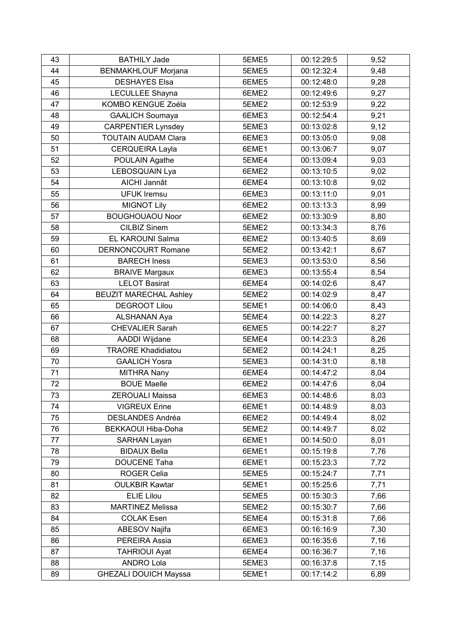| 43 | <b>BATHILY Jade</b>           | 5EME5 | 00:12:29:5 | 9,52 |
|----|-------------------------------|-------|------------|------|
| 44 | <b>BENMAKHLOUF Morjana</b>    | 5EME5 | 00:12:32:4 | 9,48 |
| 45 | <b>DESHAYES Elsa</b>          | 6EME5 | 00:12:48:0 | 9,28 |
| 46 | LECULLEE Shayna               | 6EME2 | 00:12:49:6 | 9,27 |
| 47 | KOMBO KENGUE Zoéla            | 5EME2 | 00:12:53:9 | 9,22 |
| 48 | <b>GAALICH Soumaya</b>        | 6EME3 | 00:12:54:4 | 9,21 |
| 49 | <b>CARPENTIER Lynsdey</b>     | 5EME3 | 00:13:02:8 | 9,12 |
| 50 | <b>TOUTAIN AUDAM Clara</b>    | 6EME3 | 00:13:05:0 | 9,08 |
| 51 | CERQUEIRA Layla               | 6EME1 | 00:13:06:7 | 9,07 |
| 52 | POULAIN Agathe                | 5EME4 | 00:13:09:4 | 9,03 |
| 53 | LEBOSQUAIN Lya                | 6EME2 | 00:13:10:5 | 9,02 |
| 54 | AICHI Jannât                  | 6EME4 | 00:13:10:8 | 9,02 |
| 55 | <b>UFUK Iremsu</b>            | 6EME3 | 00:13:11:0 | 9,01 |
| 56 | <b>MIGNOT Lily</b>            | 6EME2 | 00:13:13:3 | 8,99 |
| 57 | <b>BOUGHOUAOU Noor</b>        | 6EME2 | 00:13:30:9 | 8,80 |
| 58 | <b>CILBIZ Sinem</b>           | 5EME2 | 00:13:34:3 | 8,76 |
| 59 | EL KAROUNI Salma              | 6EME2 | 00:13:40:5 | 8,69 |
| 60 | <b>DERNONCOURT Romane</b>     | 5EME2 | 00:13:42:1 | 8,67 |
| 61 | <b>BARECH Iness</b>           | 5EME3 | 00:13:53:0 | 8,56 |
| 62 | <b>BRAIVE Margaux</b>         | 6EME3 | 00:13:55:4 | 8,54 |
| 63 | <b>LELOT Basirat</b>          | 6EME4 | 00:14:02:6 | 8,47 |
| 64 | <b>BEUZIT MARECHAL Ashley</b> | 5EME2 | 00:14:02:9 | 8,47 |
| 65 | <b>DEGROOT Lilou</b>          | 5EME1 | 00:14:06:0 | 8,43 |
| 66 | ALSHANAN Aya                  | 5EME4 | 00:14:22:3 | 8,27 |
| 67 | <b>CHEVALIER Sarah</b>        | 6EME5 | 00:14:22:7 | 8,27 |
| 68 | AADDI Wijdane                 | 5EME4 | 00:14:23:3 | 8,26 |
| 69 | <b>TRAORE Khadidiatou</b>     | 5EME2 | 00:14:24:1 | 8,25 |
| 70 | <b>GAALICH Yosra</b>          | 5EME3 | 00:14:31:0 | 8,18 |
| 71 | <b>MITHRA Nany</b>            | 6EME4 | 00:14:47:2 | 8,04 |
| 72 | <b>BOUE Maelle</b>            | 6EME2 | 00:14:47:6 | 8,04 |
| 73 | <b>ZEROUALI Maissa</b>        | 6EME3 | 00:14:48:6 | 8,03 |
| 74 | <b>VIGREUX Erine</b>          | 6EME1 | 00:14:48:9 | 8,03 |
| 75 | DESLANDES Andréa              | 6EME2 | 00:14:49:4 | 8,02 |
| 76 | BEKKAOUI Hiba-Doha            | 5EME2 | 00:14:49:7 | 8,02 |
| 77 | <b>SARHAN Layan</b>           | 6EME1 | 00:14:50:0 | 8,01 |
| 78 | <b>BIDAUX Bella</b>           | 6EME1 | 00:15:19:8 | 7,76 |
| 79 | DOUCENE Taha                  | 6EME1 | 00:15:23:3 | 7,72 |
| 80 | <b>ROGER Celia</b>            | 5EME5 | 00:15:24:7 | 7,71 |
| 81 | <b>OULKBIR Kawtar</b>         | 5EME1 | 00:15:25:6 | 7,71 |
| 82 | <b>ELIE Lilou</b>             | 5EME5 | 00:15:30:3 | 7,66 |
| 83 | <b>MARTINEZ Melissa</b>       | 5EME2 | 00:15:30:7 | 7,66 |
| 84 | <b>COLAK Esen</b>             | 5EME4 | 00:15:31:8 | 7,66 |
| 85 | ABESOV Najifa                 | 6EME3 | 00:16:16:9 | 7,30 |
| 86 | PEREIRA Assia                 | 6EME3 | 00:16:35:6 | 7,16 |
| 87 | <b>TAHRIOUI Ayat</b>          | 6EME4 | 00:16:36:7 | 7,16 |
| 88 | <b>ANDRO Lola</b>             | 5EME3 | 00:16:37:8 | 7,15 |
| 89 | <b>GHEZALI DOUICH Mayssa</b>  | 5EME1 | 00:17:14:2 | 6,89 |